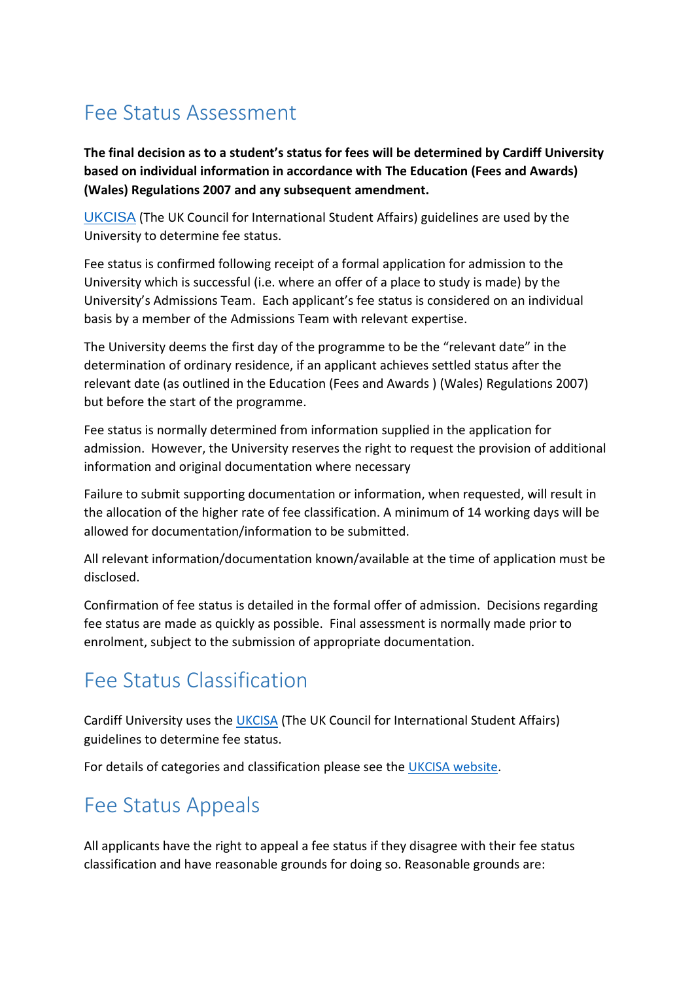## Fee Status Assessment

**The final decision as to a student's status for fees will be determined by Cardiff University based on individual information in accordance with The Education (Fees and Awards) (Wales) Regulations 2007 and any subsequent amendment.**

[UKCISA](https://www.ukcisa.org.uk/Information--Advice/Fees-and-Money/Wales-fee-status) (The UK Council for International Student Affairs) guidelines are used by the University to determine fee status.

Fee status is confirmed following receipt of a formal application for admission to the University which is successful (i.e. where an offer of a place to study is made) by the University's Admissions Team. Each applicant's fee status is considered on an individual basis by a member of the Admissions Team with relevant expertise.

The University deems the first day of the programme to be the "relevant date" in the determination of ordinary residence, if an applicant achieves settled status after the relevant date (as outlined in the Education (Fees and Awards ) (Wales) Regulations 2007) but before the start of the programme.

Fee status is normally determined from information supplied in the application for admission. However, the University reserves the right to request the provision of additional information and original documentation where necessary

Failure to submit supporting documentation or information, when requested, will result in the allocation of the higher rate of fee classification. A minimum of 14 working days will be allowed for documentation/information to be submitted.

All relevant information/documentation known/available at the time of application must be disclosed.

Confirmation of fee status is detailed in the formal offer of admission. Decisions regarding fee status are made as quickly as possible. Final assessment is normally made prior to enrolment, subject to the submission of appropriate documentation.

## Fee Status Classification

Cardiff University uses the [UKCISA](https://www.ukcisa.org.uk/Information--Advice/Fees-and-Money/Wales-fee-status) (The UK Council for International Student Affairs) guidelines to determine fee status.

For details of categories and classification please see the [UKCISA website.](https://www.ukcisa.org.uk/Information--Advice/Fees-and-Money/Wales-fee-status#layer-6099)

## Fee Status Appeals

All applicants have the right to appeal a fee status if they disagree with their fee status classification and have reasonable grounds for doing so. Reasonable grounds are: